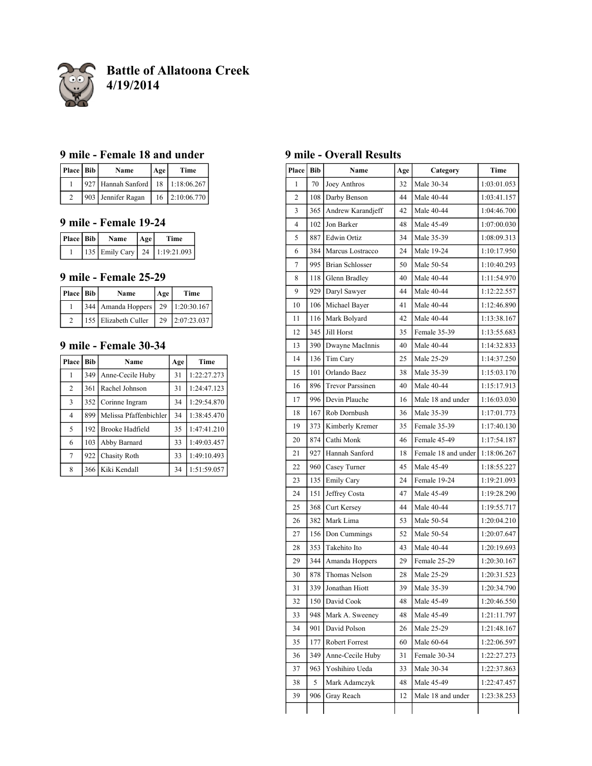

**Battle of Allatoona Creek 4/19/2014**

# **9 mile - Female 18 and under**

| Place Bib | Name                                  | Age | Time        |
|-----------|---------------------------------------|-----|-------------|
|           | 927 Hannah Sanford   18   1:18:06.267 |     |             |
|           | 903 Jennifer Ragan                    | 16  | 2:10:06.770 |

# **9 mile - Female 19-24**

| Place Bib | Name | Age | Time                                |
|-----------|------|-----|-------------------------------------|
|           |      |     | 135   Emily Cary   24   1:19:21.093 |

## **9 mile - Female 25-29**

| Place Bib | Name                 | Age | Time           |
|-----------|----------------------|-----|----------------|
|           | 344 Amanda Hoppers   |     | 29 1:20:30.167 |
|           | 155 Elizabeth Culler | 29  | 2:07:23.037    |

## **9 mile - Female 30-34**

| Place          | <b>Bib</b> | Name                   | Age | Time        |
|----------------|------------|------------------------|-----|-------------|
| 1              | 349        | Anne-Cecile Huby       | 31  | 1:22:27.273 |
| 2              | 361        | Rachel Johnson         | 31  | 1:24:47.123 |
| $\overline{3}$ | 352        | Corinne Ingram         | 34  | 1:29:54.870 |
| $\overline{4}$ | 899        | Melissa Pfaffenbichler | 34  | 1:38:45.470 |
| 5              | 192        | Brooke Hadfield        | 35  | 1:47:41.210 |
| 6              | 103        | Abby Barnard           | 33  | 1:49:03.457 |
| $\overline{7}$ | 922        | Chasity Roth           | 33  | 1:49:10.493 |
| 8              | 366        | Kiki Kendall           | 34  | 1:51:59.057 |

# **9 mile - Overall Results**

| Place          | <b>Bib</b> | Name                    | Age | Category            | Time        |
|----------------|------------|-------------------------|-----|---------------------|-------------|
| 1              | 70         | Joey Anthros            | 32  | Male 30-34          | 1:03:01.053 |
| 2              | 108        | Darby Benson            | 44  | Male 40-44          | 1:03:41.157 |
| 3              | 365        | Andrew Karandjeff       | 42  | Male 40-44          | 1:04:46.700 |
| $\overline{4}$ | 102        | Jon Barker              | 48  | Male 45-49          | 1:07:00.030 |
| 5              | 887        | <b>Edwin Ortiz</b>      | 34  | Male 35-39          | 1:08:09.313 |
| 6              | 384        | Marcus Lostracco        | 24  | Male 19-24          | 1:10:17.950 |
| 7              | 995        | <b>Brian Schlosser</b>  | 50  | Male 50-54          | 1:10:40.293 |
| 8              | 118        | Glenn Bradley           | 40  | Male 40-44          | 1:11:54.970 |
| 9              | 929        | Daryl Sawyer            | 44  | Male 40-44          | 1:12:22.557 |
| 10             | 106        | Michael Bayer           | 41  | Male 40-44          | 1:12:46.890 |
| 11             | 116        | Mark Bolyard            | 42  | Male 40-44          | 1:13:38.167 |
| 12             | 345        | Jill Horst              | 35  | Female 35-39        | 1:13:55.683 |
| 13             | 390        | Dwayne MacInnis         | 40  | Male 40-44          | 1:14:32.833 |
| 14             | 136        | Tim Cary                | 25  | Male 25-29          | 1:14:37.250 |
| 15             | 101        | Orlando Baez            | 38  | Male 35-39          | 1:15:03.170 |
| 16             | 896        | <b>Trevor Parssinen</b> | 40  | Male 40-44          | 1:15:17.913 |
| 17             | 996        | Devin Plauche           | 16  | Male 18 and under   | 1:16:03.030 |
| 18             | 167        | Rob Dornbush            | 36  | Male 35-39          | 1:17:01.773 |
| 19             | 373        | Kimberly Kremer         | 35  | Female 35-39        | 1:17:40.130 |
| 20             | 874        | Cathi Monk              | 46  | Female 45-49        | 1:17:54.187 |
| 21             | 927        | Hannah Sanford          | 18  | Female 18 and under | 1:18:06.267 |
| 22             | 960        | Casey Turner            | 45  | Male 45-49          | 1:18:55.227 |
| 23             | 135        | <b>Emily Cary</b>       | 24  | Female 19-24        | 1:19:21.093 |
| 24             | 151        | Jeffrey Costa           | 47  | Male 45-49          | 1:19:28.290 |
| 25             | 368        | Curt Kersey             | 44  | Male 40-44          | 1:19:55.717 |
| 26             | 382        | Mark Lima               | 53  | Male 50-54          | 1:20:04.210 |
| 27             | 156        | Don Cummings            | 52  | Male 50-54          | 1:20:07.647 |
| 28             | 353        | Takehito Ito            | 43  | Male 40-44          | 1:20:19.693 |
| 29             | 344        | Amanda Hoppers          | 29  | Female 25-29        | 1:20:30.167 |
| 30             | 878        | Thomas Nelson           | 28  | Male 25-29          | 1:20:31.523 |
| 31             | 339        | Jonathan Hiott          | 39  | Male 35-39          | 1:20:34.790 |
| 32             | 150        | David Cook              | 48  | Male 45-49          | 1:20:46.550 |
| 33             | 948        | Mark A. Sweeney         | 48  | Male 45-49          | 1:21:11.797 |
| 34             | 901        | David Polson            | 26  | Male 25-29          | 1:21:48.167 |
| 35             | 177        | Robert Forrest          | 60  | Male 60-64          | 1:22:06.597 |
| 36             | 349        | Anne-Cecile Huby        | 31  | Female 30-34        | 1:22:27.273 |
| 37             | 963        | Yoshihiro Ueda          | 33  | Male 30-34          | 1:22:37.863 |
| 38             | 5          | Mark Adamczyk           | 48  | Male 45-49          | 1:22:47.457 |
| 39             | 906        | Gray Reach              | 12  | Male 18 and under   | 1:23:38.253 |
|                |            |                         |     |                     |             |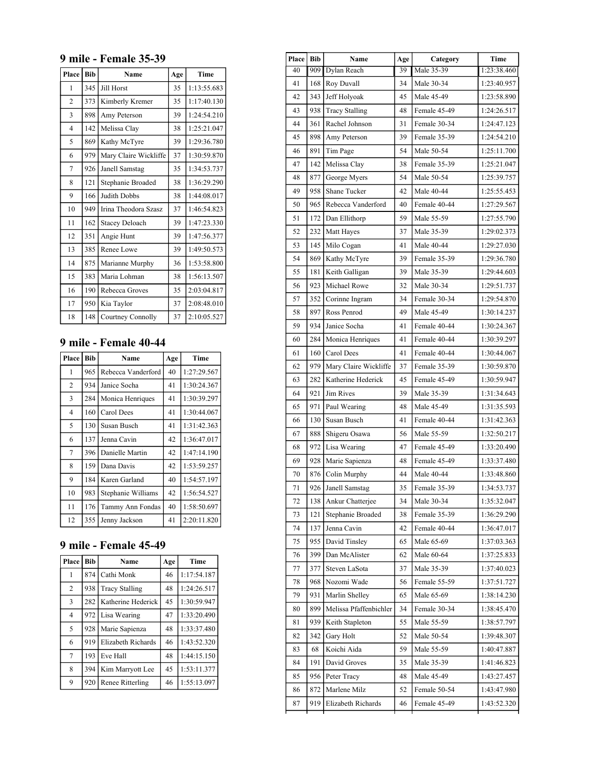#### **9 mile - Female 35-39**

| Place                    | <b>Bib</b> | Name                  | Age | Time        |
|--------------------------|------------|-----------------------|-----|-------------|
| 1                        | 345        | <b>Jill Horst</b>     | 35  | 1:13:55.683 |
| $\overline{c}$           | 373        | Kimberly Kremer       | 35  | 1:17:40.130 |
| 3                        | 898        | Amy Peterson          | 39  | 1:24:54.210 |
| $\overline{\mathcal{L}}$ | 142        | Melissa Clay          | 38  | 1:25:21.047 |
| 5                        | 869        | Kathy McTyre          | 39  | 1:29:36.780 |
| 6                        | 979        | Mary Claire Wickliffe | 37  | 1:30:59.870 |
| $\overline{7}$           | 926        | Janell Samstag        | 35  | 1:34:53.737 |
| 8                        | 121        | Stephanie Broaded     | 38  | 1:36:29.290 |
| 9                        | 166        | Judith Dobbs          | 38  | 1:44:08.017 |
| 10                       | 949        | Irina Theodora Szasz  | 37  | 1:46:54.823 |
| 11                       | 162        | <b>Stacey Deloach</b> | 39  | 1:47:23.330 |
| 12                       | 351        | Angie Hunt            | 39  | 1:47:56.377 |
| 13                       | 385        | Renee Lowe            | 39  | 1:49:50.573 |
| 14                       | 875        | Marianne Murphy       | 36  | 1:53:58.800 |
| 15                       | 383        | Maria Lohman          | 38  | 1:56:13.507 |
| 16                       | 190        | Rebecca Groves        | 35  | 2:03:04.817 |
| 17                       | 950        | Kia Taylor            | 37  | 2:08:48.010 |
| 18                       | 148        | Courtney Connolly     | 37  | 2:10:05.527 |

# **9 mile - Female 40-44**

| Place          | <b>Bib</b> | Name               | Age | Time        |
|----------------|------------|--------------------|-----|-------------|
| 1              | 965        | Rebecca Vanderford | 40  | 1:27:29.567 |
| $\overline{c}$ | 934        | Janice Socha       | 41  | 1:30:24.367 |
| 3              | 284        | Monica Henriques   | 41  | 1:30:39.297 |
| $\overline{4}$ | 160        | Carol Dees         | 41  | 1:30:44.067 |
| 5              | 130        | Susan Busch        | 41  | 1:31:42.363 |
| 6              | 137        | Jenna Cavin        | 42  | 1:36:47.017 |
| $\overline{7}$ | 396        | Danielle Martin    | 42  | 1:47:14.190 |
| 8              | 159        | Dana Davis         | 42  | 1:53:59.257 |
| 9              | 184        | Karen Garland      | 40  | 1:54:57.197 |
| 10             | 983        | Stephanie Williams | 42  | 1:56:54.527 |
| 11             | 176        | Tammy Ann Fondas   | 40  | 1:58:50.697 |
| 12             | 355        | Jenny Jackson      | 41  | 2:20:11.820 |

# **9 mile - Female 45-49**

| Place          | <b>Bib</b> | Name                  | Age | Time        |
|----------------|------------|-----------------------|-----|-------------|
| 1              | 874        | Cathi Monk            | 46  | 1:17:54.187 |
| 2              | 938        | <b>Tracy Stalling</b> | 48  | 1:24:26.517 |
| 3              | 282        | Katherine Hederick    | 45  | 1:30:59.947 |
| 4              | 972        | Lisa Wearing          | 47  | 1:33:20.490 |
| 5              | 928        | Marie Sapienza        | 48  | 1:33:37.480 |
| 6              | 919        | Elizabeth Richards    | 46  | 1:43:52.320 |
| $\overline{7}$ | 193        | Eve Hall              | 48  | 1:44:15.150 |
| 8              | 394        | Kim Marryott Lee      | 45  | 1:53:11.377 |
| 9              | 920        | Renee Ritterling      | 46  | 1:55:13.097 |

| Place | <b>Bib</b> | Age<br>Name            |    | Category     | Time        |
|-------|------------|------------------------|----|--------------|-------------|
| 40    | 909        | Dylan Reach            | 39 | Male 35-39   | 1:23:38.460 |
| 41    | 168        | Roy Duvall             | 34 | Male 30-34   | 1:23:40.957 |
| 42    | 343        | Jeff Holyoak           | 45 | Male 45-49   | 1:23:58.890 |
| 43    | 938        | <b>Tracy Stalling</b>  | 48 | Female 45-49 | 1:24:26.517 |
| 44    | 361        | Rachel Johnson         | 31 | Female 30-34 | 1:24:47.123 |
| 45    | 898        | Amy Peterson           | 39 | Female 35-39 | 1:24:54.210 |
| 46    | 891        | Tim Page               | 54 | Male 50-54   | 1:25:11.700 |
| 47    | 142        | Melissa Clay           | 38 | Female 35-39 | 1:25:21.047 |
| 48    | 877        | George Myers           | 54 | Male 50-54   | 1:25:39.757 |
| 49    | 958        | Shane Tucker           | 42 | Male 40-44   | 1:25:55.453 |
| 50    | 965        | Rebecca Vanderford     | 40 | Female 40-44 | 1:27:29.567 |
| 51    | 172        | Dan Ellithorp          | 59 | Male 55-59   | 1:27:55.790 |
| 52    | 232        | Matt Hayes             | 37 | Male 35-39   | 1:29:02.373 |
| 53    | 145        | Milo Cogan             | 41 | Male 40-44   | 1:29:27.030 |
| 54    | 869        | Kathy McTyre           | 39 | Female 35-39 | 1:29:36.780 |
| 55    | 181        | Keith Galligan         | 39 | Male 35-39   | 1:29:44.603 |
| 56    | 923        | Michael Rowe           | 32 | Male 30-34   | 1:29:51.737 |
| 57    | 352        | Corinne Ingram         | 34 | Female 30-34 | 1:29:54.870 |
| 58    | 897        | Ross Penrod            | 49 | Male 45-49   | 1:30:14.237 |
| 59    | 934        | Janice Socha           | 41 | Female 40-44 | 1:30:24.367 |
| 60    | 284        | Monica Henriques       | 41 | Female 40-44 | 1:30:39.297 |
| 61    | 160        | Carol Dees             | 41 | Female 40-44 | 1:30:44.067 |
| 62    | 979        | Mary Claire Wickliffe  | 37 | Female 35-39 | 1:30:59.870 |
| 63    | 282        | Katherine Hederick     | 45 | Female 45-49 | 1:30:59.947 |
| 64    | 921        | Jim Rives              | 39 | Male 35-39   | 1:31:34.643 |
| 65    | 971        | Paul Wearing           | 48 | Male 45-49   | 1:31:35.593 |
| 66    | 130        | Susan Busch            | 41 | Female 40-44 | 1:31:42.363 |
| 67    | 888        | Shigeru Osawa          | 56 | Male 55-59   | 1:32:50.217 |
| 68    | 972        | Lisa Wearing           | 47 | Female 45-49 | 1:33:20.490 |
| 69    | 928        | Marie Sapienza         | 48 | Female 45-49 | 1:33:37.480 |
| 70    | 876        | Colin Murphy           | 44 | Male 40-44   | 1:33:48.860 |
| 71    | 926        | Janell Samstag         | 35 | Female 35-39 | 1:34:53.737 |
| 72    | 138        | Ankur Chatterjee       | 34 | Male 30-34   | 1:35:32.047 |
| 73    | 121        | Stephanie Broaded      | 38 | Female 35-39 | 1:36:29.290 |
| 74    | 137        | Jenna Cavin            | 42 | Female 40-44 | 1:36:47.017 |
| 75    | 955        | David Tinsley          | 65 | Male 65-69   | 1:37:03.363 |
| 76    | 399        | Dan McAlister          | 62 | Male 60-64   | 1:37:25.833 |
| 77    | 377        | Steven LaSota          | 37 | Male 35-39   | 1:37:40.023 |
| 78    | 968        | Nozomi Wade            | 56 | Female 55-59 | 1:37:51.727 |
| 79    | 931        | Marlin Shelley         | 65 | Male 65-69   | 1:38:14.230 |
| 80    | 899        | Melissa Pfaffenbichler | 34 | Female 30-34 | 1:38:45.470 |
| 81    | 939        | Keith Stapleton        | 55 | Male 55-59   | 1:38:57.797 |
| 82    | 342        | Gary Holt              | 52 | Male 50-54   | 1:39:48.307 |
| 83    | 68         | Koichi Aida            | 59 | Male 55-59   | 1:40:47.887 |
| 84    | 191        | David Groves           | 35 | Male 35-39   | 1:41:46.823 |
| 85    | 956        | Peter Tracy            | 48 | Male 45-49   | 1:43:27.457 |
| 86    | 872        | Marlene Milz           | 52 | Female 50-54 | 1:43:47.980 |
| 87    | 919        | Elizabeth Richards     | 46 | Female 45-49 | 1:43:52.320 |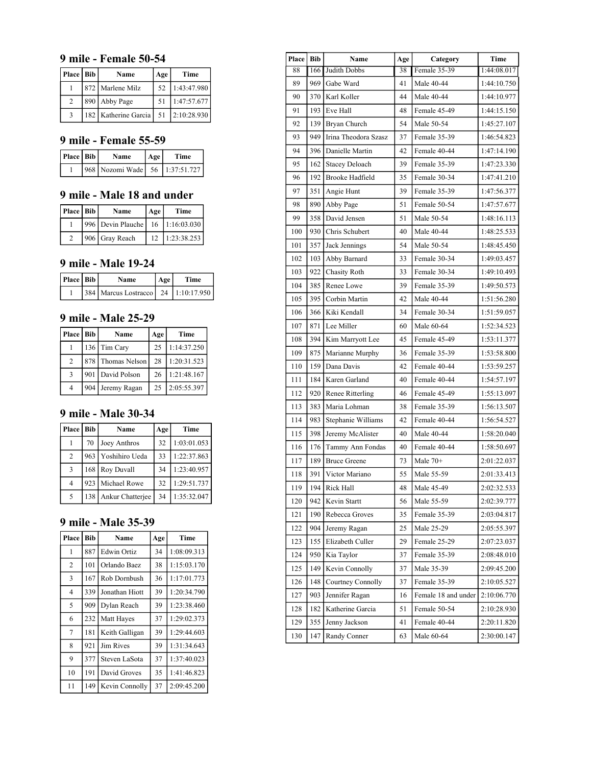#### **9 mile - Female 50-54**

| Place Bib | Name                 | Age | Time           |
|-----------|----------------------|-----|----------------|
|           | 872 Marlene Milz     | 52  | 1:43:47.980    |
| 2         | 890 Abby Page        | 51  | 1:47:57.677    |
|           | 182 Katherine Garcia |     | 51 2:10:28.930 |

## **9 mile - Female 55-59**

| Place   Bib | Name                           | Age | Time |
|-------------|--------------------------------|-----|------|
|             | 968 Nozomi Wade 56 1:37:51.727 |     |      |

# **9 mile - Male 18 and under**

| Place Bib | Name              | Age | Time           |
|-----------|-------------------|-----|----------------|
|           | 996 Devin Plauche |     | 16 1:16:03.030 |
|           | 906 Gray Reach    |     | 1:23:38.253    |

#### **9 mile - Male 19-24**

| Place Bib | Name                                      | Age | Time |
|-----------|-------------------------------------------|-----|------|
|           | 384   Marcus Lostracco   24   1:10:17.950 |     |      |

### **9 mile - Male 25-29**

| Place   Bib | Name              | Age | Time        |
|-------------|-------------------|-----|-------------|
|             | 136 Tim Cary      | 25  | 1:14:37.250 |
| 2           | 878 Thomas Nelson | 28  | 1:20:31.523 |
| 3           | 901 David Polson  | 26  | 1:21:48.167 |
| 4           | 904 Jeremy Ragan  | 25  | 2:05:55.397 |

# **9 mile - Male 30-34**

| Place | <b>Bib</b> | Name               | Age | Time        |
|-------|------------|--------------------|-----|-------------|
|       | 70         | Joey Anthros       | 32  | 1:03:01.053 |
| 2     |            | 963 Yoshihiro Ueda | 33  | 1:22:37.863 |
| 3     |            | 168 Roy Duvall     | 34  | 1:23:40.957 |
| 4     |            | 923 Michael Rowe   | 32  | 1:29:51.737 |
| 5     | 138        | Ankur Chatterjee   | 34  | 1:35:32.047 |

### **9 mile - Male 35-39**

| Place          | <b>Bib</b> | Name             | Age | Time        |
|----------------|------------|------------------|-----|-------------|
| 1              | 887        | Edwin Ortiz      | 34  | 1:08:09.313 |
| $\overline{c}$ | 101        | Orlando Baez     | 38  | 1:15:03.170 |
| 3              | 167        | Rob Dornbush     | 36  | 1:17:01.773 |
| $\overline{4}$ | 339        | Jonathan Hiott   | 39  | 1:20:34.790 |
| 5              | 909        | Dylan Reach      | 39  | 1:23:38.460 |
| 6              | 232        | Matt Hayes       | 37  | 1:29:02.373 |
| $\overline{7}$ | 181        | Keith Galligan   | 39  | 1:29:44.603 |
| 8              | 921        | <b>Jim Rives</b> | 39  | 1:31:34.643 |
| 9              | 377        | Steven LaSota    | 37  | 1:37:40.023 |
| 10             | 191        | David Groves     | 35  | 1:41:46.823 |
| 11             | 149        | Kevin Connolly   | 37  | 2:09:45.200 |

| Place   Bib | Name<br>Age<br>Category |                        | Time |                     |             |
|-------------|-------------------------|------------------------|------|---------------------|-------------|
| 88          | 166                     | Judith Dobbs           | 38   | Female 35-39        | 1:44:08.017 |
| 89          | 969                     | Gabe Ward              | 41   | Male 40-44          | 1:44:10.750 |
| 90          | 370                     | Karl Koller            | 44   | Male 40-44          | 1:44:10.977 |
| 91          | 193                     | Eve Hall               | 48   | Female 45-49        | 1:44:15.150 |
| 92          | 139                     | Bryan Church           | 54   | Male 50-54          | 1:45:27.107 |
| 93          | 949                     | Irina Theodora Szasz   | 37   | Female 35-39        | 1:46:54.823 |
| 94          | 396                     | Danielle Martin        | 42   | Female 40-44        | 1:47:14.190 |
| 95          | 162                     | <b>Stacey Deloach</b>  | 39   | Female 35-39        | 1:47:23.330 |
| 96          | 192                     | <b>Brooke Hadfield</b> | 35   | Female 30-34        | 1:47:41.210 |
| 97          | 351                     | Angie Hunt             | 39   | Female 35-39        | 1:47:56.377 |
| 98          | 890                     | Abby Page              | 51   | Female 50-54        | 1:47:57.677 |
| 99          | 358                     | David Jensen           | 51   | Male 50-54          | 1:48:16.113 |
| 100         | 930                     | Chris Schubert         | 40   | Male 40-44          | 1:48:25.533 |
| 101         | 357                     | Jack Jennings          | 54   | Male 50-54          | 1:48:45.450 |
| 102         | 103                     | Abby Barnard           | 33   | Female 30-34        | 1:49:03.457 |
| 103         | 922                     | Chasity Roth           | 33   | Female 30-34        | 1:49:10.493 |
| 104         | 385                     | Renee Lowe             | 39   | Female 35-39        | 1:49:50.573 |
| 105         | 395                     | Corbin Martin          | 42   | Male 40-44          | 1:51:56.280 |
| 106         | 366                     | Kiki Kendall           | 34   | Female 30-34        | 1:51:59.057 |
| 107         | 871                     | Lee Miller             | 60   | Male 60-64          | 1:52:34.523 |
| 108         | 394                     | Kim Marryott Lee       | 45   | Female 45-49        | 1:53:11.377 |
| 109         | 875                     | Marianne Murphy        | 36   | Female 35-39        | 1:53:58.800 |
| 110         | 159                     | Dana Davis             | 42   | Female 40-44        | 1:53:59.257 |
| 111         | 184                     | Karen Garland          | 40   | Female 40-44        | 1:54:57.197 |
| 112         | 920                     | Renee Ritterling       | 46   | Female 45-49        | 1:55:13.097 |
| 113         | 383                     | Maria Lohman           | 38   | Female 35-39        | 1:56:13.507 |
| 114         | 983                     | Stephanie Williams     | 42   | Female 40-44        | 1:56:54.527 |
| 115         | 398                     | Jeremy McAlister       | 40   | Male 40-44          | 1:58:20.040 |
| 116         | 176                     | Tammy Ann Fondas       | 40   | Female 40-44        | 1:58:50.697 |
| 117         | 189                     | <b>Bruce Greene</b>    | 73   | Male $70+$          | 2:01:22.037 |
| 118         | 391                     | Victor Mariano         | 55   | Male 55-59          | 2:01:33.413 |
| 119         | 194                     | Rick Hall              | 48   | Male 45-49          | 2:02:32.533 |
| 120         | 942                     | Kevin Startt           | 56   | Male 55-59          | 2:02:39.777 |
| 121         | 190                     | Rebecca Groves         | 35   | Female 35-39        | 2:03:04.817 |
| 122         | 904                     | Jeremy Ragan           | 25   | Male 25-29          | 2:05:55.397 |
| 123         | 155                     | Elizabeth Culler       | 29   | Female 25-29        | 2:07:23.037 |
| 124         | 950                     | Kia Taylor             | 37   | Female 35-39        | 2:08:48.010 |
| 125         | 149                     | Kevin Connolly         | 37   | Male 35-39          | 2:09:45.200 |
| 126         | 148                     | Courtney Connolly      | 37   | Female 35-39        | 2:10:05.527 |
| 127         | 903                     | Jennifer Ragan         | 16   | Female 18 and under | 2:10:06.770 |
| 128         | 182                     | Katherine Garcia       | 51   | Female 50-54        | 2:10:28.930 |
| 129         | 355                     | Jenny Jackson          | 41   | Female 40-44        | 2:20:11.820 |
| 130         | 147                     | Randy Conner           | 63   | Male 60-64          | 2:30:00.147 |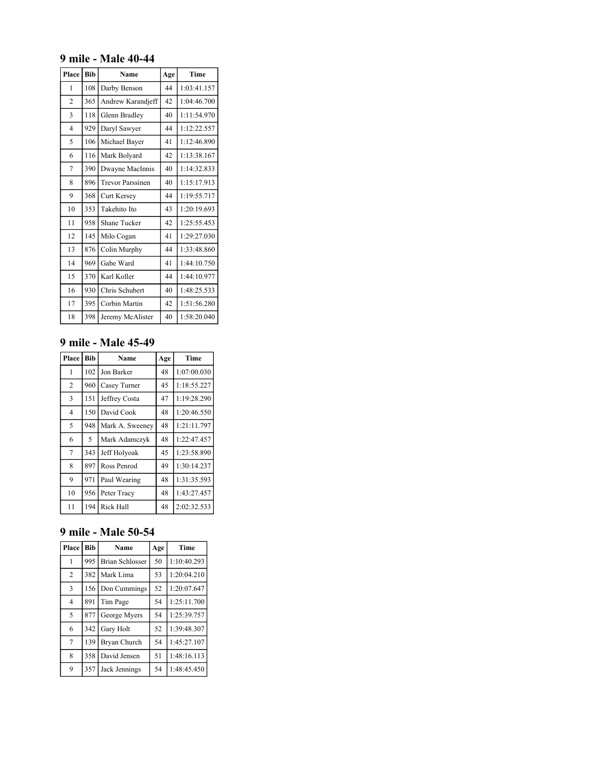#### **9 mile - Male 40-44**

| Place          | <b>Bib</b> | Name                    | Age | Time        |
|----------------|------------|-------------------------|-----|-------------|
| 1              | 108        | Darby Benson            | 44  | 1:03:41.157 |
| $\overline{c}$ | 365        | Andrew Karandjeff       | 42  | 1:04:46.700 |
| 3              | 118        | Glenn Bradley           | 40  | 1:11:54.970 |
| $\overline{4}$ | 929        | Daryl Sawyer            | 44  | 1:12:22.557 |
| 5              | 106        | Michael Bayer           | 41  | 1:12:46.890 |
| 6              | 116        | Mark Bolyard            | 42  | 1:13:38.167 |
| 7              | 390        | Dwayne MacInnis         | 40  | 1:14:32.833 |
| 8              | 896        | <b>Trevor Parssinen</b> | 40  | 1:15:17.913 |
| 9              | 368        | Curt Kersey             | 44  | 1:19:55.717 |
| 10             | 353        | Takehito Ito            | 43  | 1:20:19.693 |
| 11             | 958        | <b>Shane Tucker</b>     | 42  | 1:25:55.453 |
| 12             | 145        | Milo Cogan              | 41  | 1:29:27.030 |
| 13             | 876        | Colin Murphy            | 44  | 1:33:48.860 |
| 14             | 969        | Gabe Ward               | 41  | 1:44:10.750 |
| 15             | 370        | Karl Koller             | 44  | 1:44:10.977 |
| 16             | 930        | Chris Schubert          | 40  | 1:48:25.533 |
| 17             | 395        | Corbin Martin           | 42  | 1:51:56.280 |
| 18             | 398        | Jeremy McAlister        | 40  | 1:58:20.040 |

# **9 mile - Male 45-49**

| Place          | <b>Bib</b> | Name             | Age | Time        |
|----------------|------------|------------------|-----|-------------|
| 1              | 102        | Jon Barker       | 48  | 1:07:00.030 |
| $\overline{2}$ | 960        | Casey Turner     | 45  | 1:18:55.227 |
| 3              | 151        | Jeffrey Costa    | 47  | 1:19:28.290 |
| 4              | 150        | David Cook       | 48  | 1:20:46.550 |
| 5              | 948        | Mark A. Sweeney  | 48  | 1:21:11.797 |
| 6              | 5          | Mark Adamczyk    | 48  | 1:22:47.457 |
| 7              | 343        | Jeff Holyoak     | 45  | 1:23:58.890 |
| 8              | 897        | Ross Penrod      | 49  | 1:30:14.237 |
| 9              | 971        | Paul Wearing     | 48  | 1:31:35.593 |
| 10             | 956        | Peter Tracy      | 48  | 1:43:27.457 |
| 11             | 194        | <b>Rick Hall</b> | 48  | 2:02:32.533 |

# **9 mile - Male 50-54**

| Place          | <b>Bib</b> | Name                   | Age | Time        |
|----------------|------------|------------------------|-----|-------------|
| 1              | 995        | <b>Brian Schlosser</b> | 50  | 1:10:40.293 |
| 2              | 382        | Mark Lima              | 53  | 1:20:04.210 |
| 3              | 156        | Don Cummings           | 52  | 1:20:07.647 |
| $\overline{4}$ | 891        | Tim Page               | 54  | 1:25:11.700 |
| 5              | 877        | George Myers           | 54  | 1:25:39.757 |
| 6              | 342        | Gary Holt              | 52  | 1:39:48.307 |
| 7              | 139        | Bryan Church           | 54  | 1:45:27.107 |
| 8              | 358        | David Jensen           | 51  | 1:48:16.113 |
| 9              | 357        | Jack Jennings          | 54  | 1:48:45.450 |